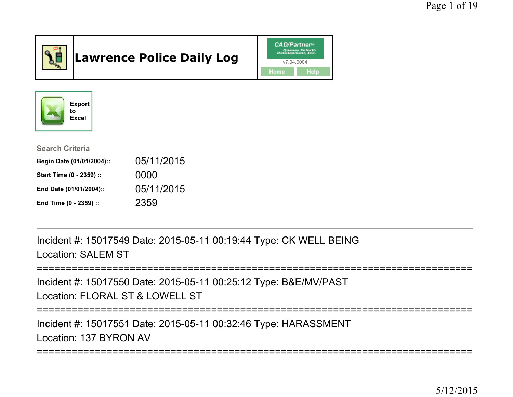

# Lawrence Police Daily Log





| <b>Search Criteria</b>    |            |
|---------------------------|------------|
| Begin Date (01/01/2004):: | 05/11/2015 |
| Start Time (0 - 2359) ::  | 0000       |
| End Date (01/01/2004)::   | 05/11/2015 |
| End Time (0 - 2359) ::    | 2359       |

Incident #: 15017549 Date: 2015-05-11 00:19:44 Type: CK WELL BEINGLocation: SALEM ST

```
===========================================================================
```
Incident #: 15017550 Date: 2015-05-11 00:25:12 Type: B&E/MV/PASTLocation: FLORAL ST & LOWELL ST

===========================================================================

Incident #: 15017551 Date: 2015-05-11 00:32:46 Type: HARASSMENTLocation: 137 BYRON AV

=========================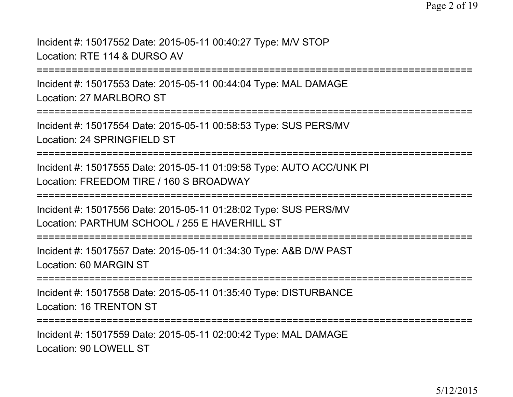Incident #: 15017552 Date: 2015-05-11 00:40:27 Type: M/V STOPLocation: RTE 114 & DURSO AV

===========================================================================

Incident #: 15017553 Date: 2015-05-11 00:44:04 Type: MAL DAMAGELocation: 27 MARLBORO ST

===========================================================================

Incident #: 15017554 Date: 2015-05-11 00:58:53 Type: SUS PERS/MVLocation: 24 SPRINGFIELD ST

===========================================================================

Incident #: 15017555 Date: 2015-05-11 01:09:58 Type: AUTO ACC/UNK PILocation: FREEDOM TIRE / 160 S BROADWAY

===========================================================================

Incident #: 15017556 Date: 2015-05-11 01:28:02 Type: SUS PERS/MVLocation: PARTHUM SCHOOL / 255 E HAVERHILL ST

===========================================================================

Incident #: 15017557 Date: 2015-05-11 01:34:30 Type: A&B D/W PASTLocation: 60 MARGIN ST

===========================================================================

Incident #: 15017558 Date: 2015-05-11 01:35:40 Type: DISTURBANCELocation: 16 TRENTON ST

===========================================================================

Incident #: 15017559 Date: 2015-05-11 02:00:42 Type: MAL DAMAGELocation: 90 LOWELL ST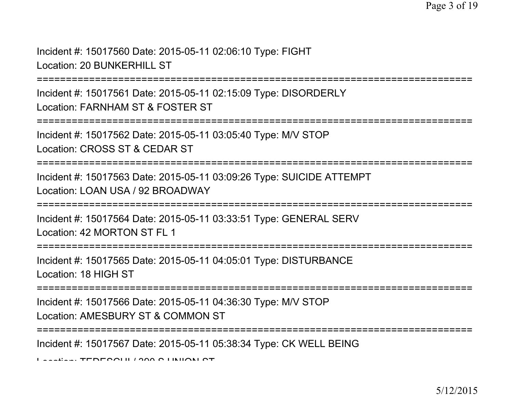Incident #: 15017560 Date: 2015-05-11 02:06:10 Type: FIGHT

Location: 20 BUNKERHILL ST

===========================================================================

Incident #: 15017561 Date: 2015-05-11 02:15:09 Type: DISORDERLYLocation: FARNHAM ST & FOSTER ST

```
===========================================================================
```
Incident #: 15017562 Date: 2015-05-11 03:05:40 Type: M/V STOPLocation: CROSS ST & CEDAR ST

===========================================================================

Incident #: 15017563 Date: 2015-05-11 03:09:26 Type: SUICIDE ATTEMPTLocation: LOAN USA / 92 BROADWAY

===========================================================================

Incident #: 15017564 Date: 2015-05-11 03:33:51 Type: GENERAL SERVLocation: 42 MORTON ST FL 1

===========================================================================

Incident #: 15017565 Date: 2015-05-11 04:05:01 Type: DISTURBANCELocation: 18 HIGH ST

===========================================================================

Incident #: 15017566 Date: 2015-05-11 04:36:30 Type: M/V STOPLocation: AMESBURY ST & COMMON ST

===========================================================================

Incident #: 15017567 Date: 2015-05-11 05:38:34 Type: CK WELL BEING

Location: TEDESCHI / 390 S UNION ST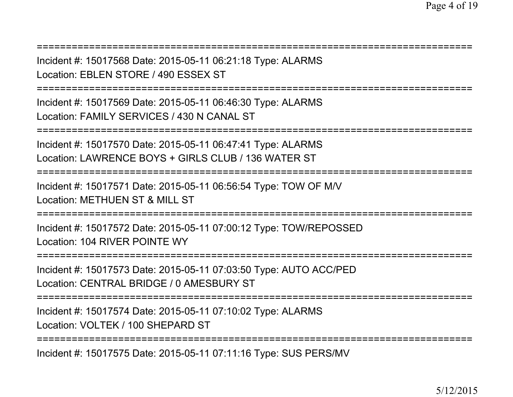| Incident #: 15017568 Date: 2015-05-11 06:21:18 Type: ALARMS<br>Location: EBLEN STORE / 490 ESSEX ST                |
|--------------------------------------------------------------------------------------------------------------------|
| Incident #: 15017569 Date: 2015-05-11 06:46:30 Type: ALARMS<br>Location: FAMILY SERVICES / 430 N CANAL ST          |
| Incident #: 15017570 Date: 2015-05-11 06:47:41 Type: ALARMS<br>Location: LAWRENCE BOYS + GIRLS CLUB / 136 WATER ST |
| Incident #: 15017571 Date: 2015-05-11 06:56:54 Type: TOW OF M/V<br>Location: METHUEN ST & MILL ST                  |
| Incident #: 15017572 Date: 2015-05-11 07:00:12 Type: TOW/REPOSSED<br>Location: 104 RIVER POINTE WY                 |
| Incident #: 15017573 Date: 2015-05-11 07:03:50 Type: AUTO ACC/PED<br>Location: CENTRAL BRIDGE / 0 AMESBURY ST      |
| Incident #: 15017574 Date: 2015-05-11 07:10:02 Type: ALARMS<br>Location: VOLTEK / 100 SHEPARD ST                   |
|                                                                                                                    |

Incident #: 15017575 Date: 2015-05-11 07:11:16 Type: SUS PERS/MV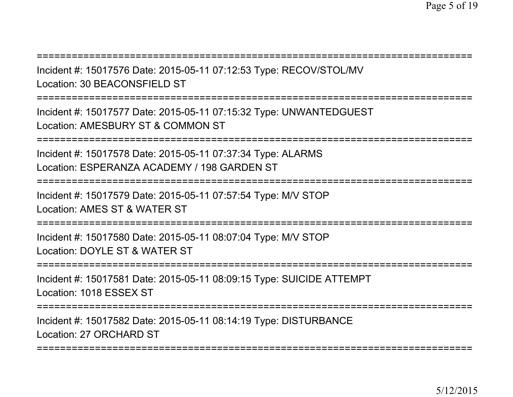===========================================================================

Incident #: 15017576 Date: 2015-05-11 07:12:53 Type: RECOV/STOL/MVLocation: 30 BEACONSFIELD ST

===========================================================================

Incident #: 15017577 Date: 2015-05-11 07:15:32 Type: UNWANTEDGUESTLocation: AMESBURY ST & COMMON ST

===========================================================================

Incident #: 15017578 Date: 2015-05-11 07:37:34 Type: ALARMSLocation: ESPERANZA ACADEMY / 198 GARDEN ST

===========================================================================

Incident #: 15017579 Date: 2015-05-11 07:57:54 Type: M/V STOP

Location: AMES ST & WATER ST

===========================================================================

Incident #: 15017580 Date: 2015-05-11 08:07:04 Type: M/V STOPLocation: DOYLE ST & WATER ST

===========================================================================

Incident #: 15017581 Date: 2015-05-11 08:09:15 Type: SUICIDE ATTEMPTLocation: 1018 ESSEX ST

===========================================================================

Incident #: 15017582 Date: 2015-05-11 08:14:19 Type: DISTURBANCELocation: 27 ORCHARD ST

===========================================================================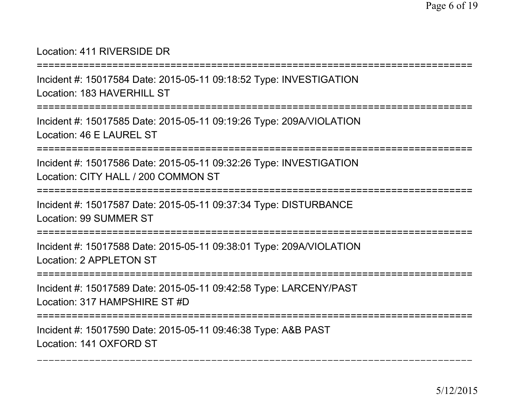## Location: 411 RIVERSIDE DR

===========================================================================

Incident #: 15017584 Date: 2015-05-11 09:18:52 Type: INVESTIGATIONLocation: 183 HAVERHILL ST

===========================================================================

Incident #: 15017585 Date: 2015-05-11 09:19:26 Type: 209A/VIOLATIONLocation: 46 E LAUREL ST

===========================================================================

Incident #: 15017586 Date: 2015-05-11 09:32:26 Type: INVESTIGATIONLocation: CITY HALL / 200 COMMON ST

```
===========================================================================
```
Incident #: 15017587 Date: 2015-05-11 09:37:34 Type: DISTURBANCELocation: 99 SUMMER ST

===========================================================================

Incident #: 15017588 Date: 2015-05-11 09:38:01 Type: 209A/VIOLATIONLocation: 2 APPLETON ST

===========================================================================

Incident #: 15017589 Date: 2015-05-11 09:42:58 Type: LARCENY/PASTLocation: 317 HAMPSHIRE ST #D

===========================================================================

Incident #: 15017590 Date: 2015-05-11 09:46:38 Type: A&B PASTLocation: 141 OXFORD ST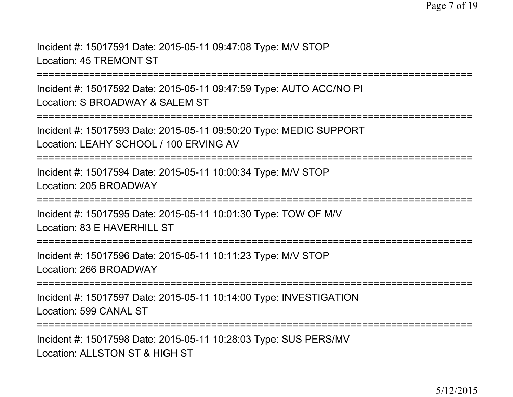Incident #: 15017591 Date: 2015-05-11 09:47:08 Type: M/V STOPLocation: 45 TREMONT ST

===========================================================================

Incident #: 15017592 Date: 2015-05-11 09:47:59 Type: AUTO ACC/NO PILocation: S BROADWAY & SALEM ST

```
===========================================================================
```
Incident #: 15017593 Date: 2015-05-11 09:50:20 Type: MEDIC SUPPORTLocation: LEAHY SCHOOL / 100 ERVING AV

===========================================================================

Incident #: 15017594 Date: 2015-05-11 10:00:34 Type: M/V STOPLocation: 205 BROADWAY

===========================================================================

Incident #: 15017595 Date: 2015-05-11 10:01:30 Type: TOW OF M/V

Location: 83 F HAVERHILL ST

===========================================================================

Incident #: 15017596 Date: 2015-05-11 10:11:23 Type: M/V STOPLocation: 266 BROADWAY

===========================================================================

Incident #: 15017597 Date: 2015-05-11 10:14:00 Type: INVESTIGATIONLocation: 599 CANAL ST

===========================================================================

Incident #: 15017598 Date: 2015-05-11 10:28:03 Type: SUS PERS/MVLocation: ALLSTON ST & HIGH ST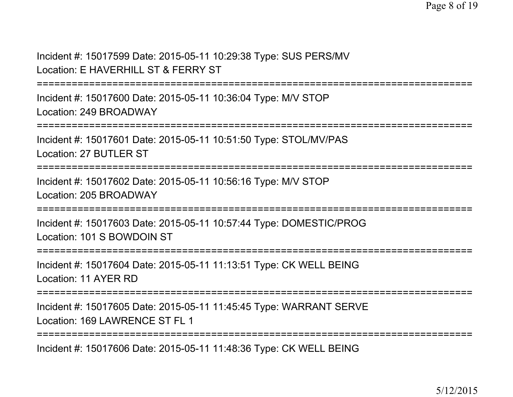Incident #: 15017599 Date: 2015-05-11 10:29:38 Type: SUS PERS/MVLocation: E HAVERHILL ST & FERRY ST

===========================================================================

Incident #: 15017600 Date: 2015-05-11 10:36:04 Type: M/V STOPLocation: 249 BROADWAY

===========================================================================

Incident #: 15017601 Date: 2015-05-11 10:51:50 Type: STOL/MV/PASLocation: 27 BUTLER ST

===========================================================================

Incident #: 15017602 Date: 2015-05-11 10:56:16 Type: M/V STOPLocation: 205 BROADWAY

===========================================================================

Incident #: 15017603 Date: 2015-05-11 10:57:44 Type: DOMESTIC/PROGLocation: 101 S BOWDOIN ST

===========================================================================

Incident #: 15017604 Date: 2015-05-11 11:13:51 Type: CK WELL BEINGLocation: 11 AYER RD

===========================================================================

Incident #: 15017605 Date: 2015-05-11 11:45:45 Type: WARRANT SERVELocation: 169 LAWRENCE ST FL 1

===========================================================================

Incident #: 15017606 Date: 2015-05-11 11:48:36 Type: CK WELL BEING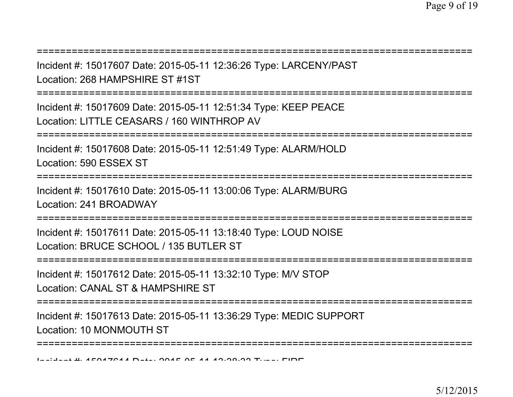===========================================================================Incident #: 15017607 Date: 2015-05-11 12:36:26 Type: LARCENY/PASTLocation: 268 HAMPSHIRE ST #1ST===========================================================================Incident #: 15017609 Date: 2015-05-11 12:51:34 Type: KEEP PEACELocation: LITTLE CEASARS / 160 WINTHROP AV ===========================================================================Incident #: 15017608 Date: 2015-05-11 12:51:49 Type: ALARM/HOLDLocation: 590 ESSEX ST===========================================================================Incident #: 15017610 Date: 2015-05-11 13:00:06 Type: ALARM/BURGLocation: 241 BROADWAY===========================================================================Incident #: 15017611 Date: 2015-05-11 13:18:40 Type: LOUD NOISELocation: BRUCE SCHOOL / 135 BUTLER ST===========================================================================Incident #: 15017612 Date: 2015-05-11 13:32:10 Type: M/V STOPLocation: CANAL ST & HAMPSHIRE ST===========================================================================Incident #: 15017613 Date: 2015-05-11 13:36:29 Type: MEDIC SUPPORTLocation: 10 MONMOUTH ST===========================================================================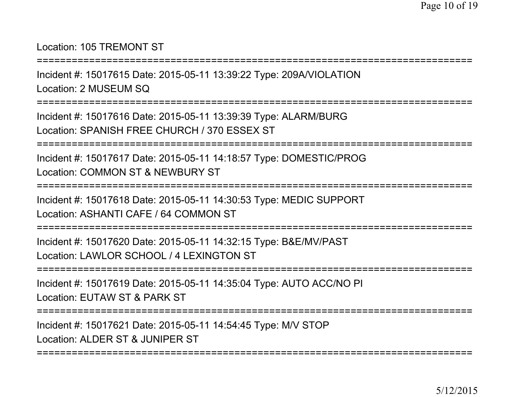## Location: 105 TREMONT ST

===========================================================================

Incident #: 15017615 Date: 2015-05-11 13:39:22 Type: 209A/VIOLATIONLocation: 2 MUSEUM SQ

===========================================================================

Incident #: 15017616 Date: 2015-05-11 13:39:39 Type: ALARM/BURGLocation: SPANISH FREE CHURCH / 370 ESSEX ST

===========================================================================

Incident #: 15017617 Date: 2015-05-11 14:18:57 Type: DOMESTIC/PROGLocation: COMMON ST & NEWBURY ST

===========================================================================

Incident #: 15017618 Date: 2015-05-11 14:30:53 Type: MEDIC SUPPORTLocation: ASHANTI CAFE / 64 COMMON ST

===========================================================================

Incident #: 15017620 Date: 2015-05-11 14:32:15 Type: B&E/MV/PASTLocation: LAWLOR SCHOOL / 4 LEXINGTON ST

===========================================================================

Incident #: 15017619 Date: 2015-05-11 14:35:04 Type: AUTO ACC/NO PILocation: EUTAW ST & PARK ST

===========================================================================

Incident #: 15017621 Date: 2015-05-11 14:54:45 Type: M/V STOPLocation: ALDER ST & JUNIPER ST

===========================================================================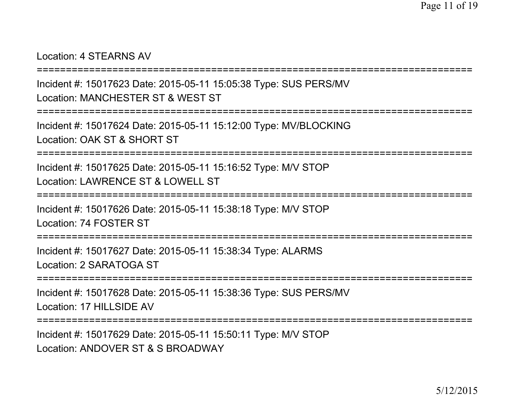#### Location: 4 STEARNS AV

```
===========================================================================
```
Incident #: 15017623 Date: 2015-05-11 15:05:38 Type: SUS PERS/MVLocation: MANCHESTER ST & WEST ST

```
===========================================================================
```
Incident #: 15017624 Date: 2015-05-11 15:12:00 Type: MV/BLOCKINGLocation: OAK ST & SHORT ST

===========================================================================

Incident #: 15017625 Date: 2015-05-11 15:16:52 Type: M/V STOPLocation: LAWRENCE ST & LOWELL ST

===========================================================================

Incident #: 15017626 Date: 2015-05-11 15:38:18 Type: M/V STOPLocation: 74 FOSTER ST

===========================================================================

Incident #: 15017627 Date: 2015-05-11 15:38:34 Type: ALARMSLocation: 2 SARATOGA ST

```
===========================================================================
```
Incident #: 15017628 Date: 2015-05-11 15:38:36 Type: SUS PERS/MVLocation: 17 HILLSIDE AV

```
===========================================================================
```
Incident #: 15017629 Date: 2015-05-11 15:50:11 Type: M/V STOPLocation: ANDOVER ST & S BROADWAY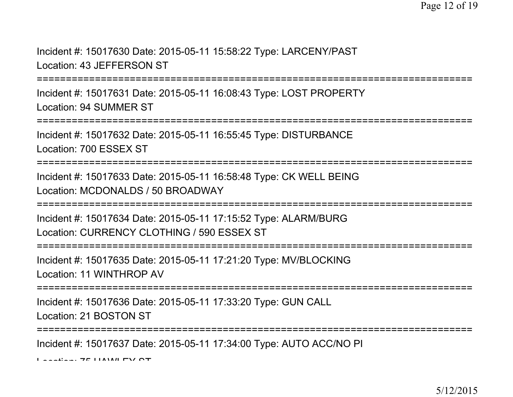Incident #: 15017630 Date: 2015-05-11 15:58:22 Type: LARCENY/PASTLocation: 43 JEFFERSON ST

===========================================================================

Incident #: 15017631 Date: 2015-05-11 16:08:43 Type: LOST PROPERTYLocation: 94 SUMMER ST

==================

Incident #: 15017632 Date: 2015-05-11 16:55:45 Type: DISTURBANCELocation: 700 ESSEX ST

===========================================================================

Incident #: 15017633 Date: 2015-05-11 16:58:48 Type: CK WELL BEINGLocation: MCDONALDS / 50 BROADWAY

===========================================================================

Incident #: 15017634 Date: 2015-05-11 17:15:52 Type: ALARM/BURGLocation: CURRENCY CLOTHING / 590 ESSEX ST

===========================================================================

Incident #: 15017635 Date: 2015-05-11 17:21:20 Type: MV/BLOCKINGLocation: 11 WINTHROP AV

===========================================================================

Incident #: 15017636 Date: 2015-05-11 17:33:20 Type: GUN CALLLocation: 21 BOSTON ST

===========================================================================

Incident #: 15017637 Date: 2015-05-11 17:34:00 Type: AUTO ACC/NO PI

 $L_{\text{sc}}$   $\frac{1}{2}$   $\frac{1}{2}$   $\frac{1}{2}$   $\frac{1}{2}$   $\frac{1}{2}$   $\frac{1}{2}$   $\frac{1}{2}$   $\frac{1}{2}$   $\frac{1}{2}$   $\frac{1}{2}$   $\frac{1}{2}$   $\frac{1}{2}$   $\frac{1}{2}$   $\frac{1}{2}$   $\frac{1}{2}$   $\frac{1}{2}$   $\frac{1}{2}$   $\frac{1}{2}$   $\frac{1}{2}$   $\frac{1}{2}$   $\frac{1}{2}$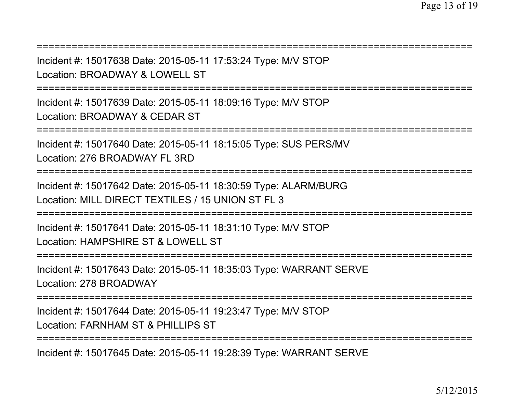| Incident #: 15017638 Date: 2015-05-11 17:53:24 Type: M/V STOP<br>Location: BROADWAY & LOWELL ST                                        |
|----------------------------------------------------------------------------------------------------------------------------------------|
| Incident #: 15017639 Date: 2015-05-11 18:09:16 Type: M/V STOP<br>Location: BROADWAY & CEDAR ST<br>;=================================== |
| Incident #: 15017640 Date: 2015-05-11 18:15:05 Type: SUS PERS/MV<br>Location: 276 BROADWAY FL 3RD                                      |
| Incident #: 15017642 Date: 2015-05-11 18:30:59 Type: ALARM/BURG<br>Location: MILL DIRECT TEXTILES / 15 UNION ST FL 3                   |
| Incident #: 15017641 Date: 2015-05-11 18:31:10 Type: M/V STOP<br>Location: HAMPSHIRE ST & LOWELL ST                                    |
| Incident #: 15017643 Date: 2015-05-11 18:35:03 Type: WARRANT SERVE<br>Location: 278 BROADWAY                                           |
| Incident #: 15017644 Date: 2015-05-11 19:23:47 Type: M/V STOP<br>Location: FARNHAM ST & PHILLIPS ST                                    |
|                                                                                                                                        |

Incident #: 15017645 Date: 2015-05-11 19:28:39 Type: WARRANT SERVE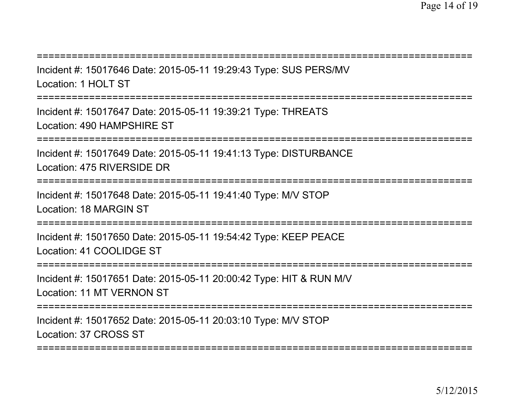| Incident #: 15017646 Date: 2015-05-11 19:29:43 Type: SUS PERS/MV<br>Location: 1 HOLT ST         |
|-------------------------------------------------------------------------------------------------|
| Incident #: 15017647 Date: 2015-05-11 19:39:21 Type: THREATS<br>Location: 490 HAMPSHIRE ST      |
| Incident #: 15017649 Date: 2015-05-11 19:41:13 Type: DISTURBANCE<br>Location: 475 RIVERSIDE DR  |
| Incident #: 15017648 Date: 2015-05-11 19:41:40 Type: M/V STOP<br>Location: 18 MARGIN ST         |
| Incident #: 15017650 Date: 2015-05-11 19:54:42 Type: KEEP PEACE<br>Location: 41 COOLIDGE ST     |
| Incident #: 15017651 Date: 2015-05-11 20:00:42 Type: HIT & RUN M/V<br>Location: 11 MT VERNON ST |
| Incident #: 15017652 Date: 2015-05-11 20:03:10 Type: M/V STOP<br>Location: 37 CROSS ST          |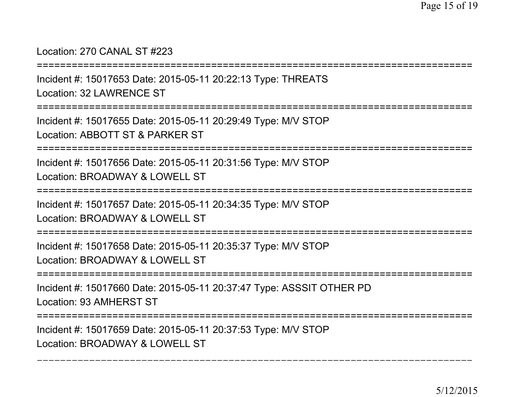### Location: 270 CANAL ST #223

===========================================================================Incident #: 15017653 Date: 2015-05-11 20:22:13 Type: THREATSLocation: 32 LAWRENCE ST===========================================================================Incident #: 15017655 Date: 2015-05-11 20:29:49 Type: M/V STOPLocation: ABBOTT ST & PARKER ST===========================================================================Incident #: 15017656 Date: 2015-05-11 20:31:56 Type: M/V STOPLocation: BROADWAY & LOWELL ST===========================================================================

Incident #: 15017657 Date: 2015-05-11 20:34:35 Type: M/V STOPLocation: BROADWAY & LOWELL ST

===========================================================================

Incident #: 15017658 Date: 2015-05-11 20:35:37 Type: M/V STOPLocation: BROADWAY & LOWELL ST

===========================================================================

Incident #: 15017660 Date: 2015-05-11 20:37:47 Type: ASSSIT OTHER PDLocation: 93 AMHERST ST

===========================================================================

===========================================================================

Incident #: 15017659 Date: 2015-05-11 20:37:53 Type: M/V STOPLocation: BROADWAY & LOWELL ST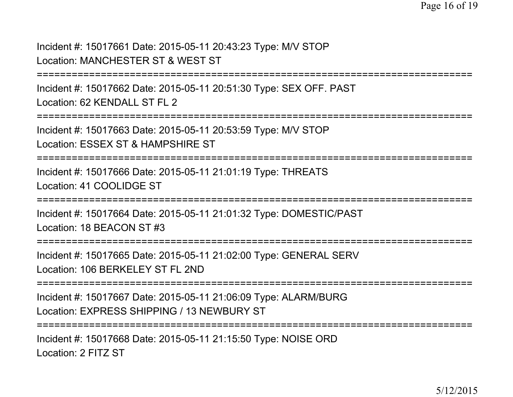Incident #: 15017661 Date: 2015-05-11 20:43:23 Type: M/V STOPLocation: MANCHESTER ST & WEST ST

```

===========================================================================
```
Incident #: 15017662 Date: 2015-05-11 20:51:30 Type: SEX OFF. PASTLocation: 62 KENDALL ST FL 2

===========================================================================

Incident #: 15017663 Date: 2015-05-11 20:53:59 Type: M/V STOP

Location: ESSEX ST & HAMPSHIRE ST

===========================================================================

Incident #: 15017666 Date: 2015-05-11 21:01:19 Type: THREATSLocation: 41 COOLIDGE ST

===========================================================================

Incident #: 15017664 Date: 2015-05-11 21:01:32 Type: DOMESTIC/PASTLocation: 18 BEACON ST #3

===========================================================================

Incident #: 15017665 Date: 2015-05-11 21:02:00 Type: GENERAL SERVLocation: 106 BERKELEY ST FL 2ND

===========================================================================

Incident #: 15017667 Date: 2015-05-11 21:06:09 Type: ALARM/BURGLocation: EXPRESS SHIPPING / 13 NEWBURY ST

===========================================================================

Incident #: 15017668 Date: 2015-05-11 21:15:50 Type: NOISE ORDLocation: 2 FITZ ST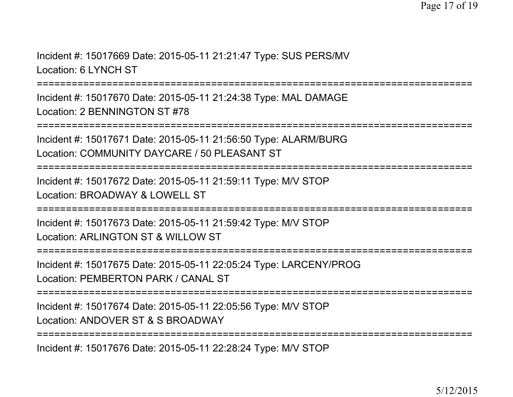Incident #: 15017669 Date: 2015-05-11 21:21:47 Type: SUS PERS/MVLocation: 6 LYNCH ST

===========================================================================

Incident #: 15017670 Date: 2015-05-11 21:24:38 Type: MAL DAMAGELocation: 2 BENNINGTON ST #78

===========================================================================

Incident #: 15017671 Date: 2015-05-11 21:56:50 Type: ALARM/BURGLocation: COMMUNITY DAYCARE / 50 PLEASANT ST

===========================================================================

Incident #: 15017672 Date: 2015-05-11 21:59:11 Type: M/V STOPLocation: BROADWAY & LOWELL ST

===========================================================================

Incident #: 15017673 Date: 2015-05-11 21:59:42 Type: M/V STOPLocation: ARLINGTON ST & WILLOW ST

===========================================================================

Incident #: 15017675 Date: 2015-05-11 22:05:24 Type: LARCENY/PROGLocation: PEMBERTON PARK / CANAL ST

===========================================================================

Incident #: 15017674 Date: 2015-05-11 22:05:56 Type: M/V STOPLocation: ANDOVER ST & S BROADWAY

===========================================================================

Incident #: 15017676 Date: 2015-05-11 22:28:24 Type: M/V STOP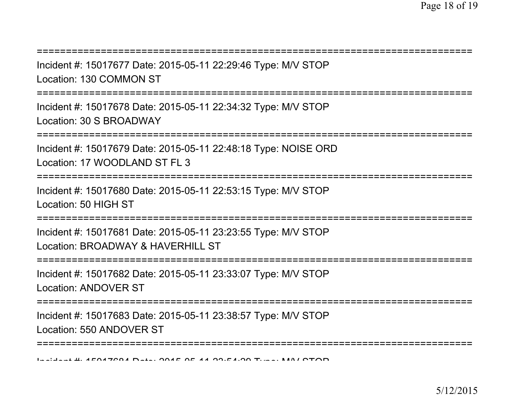| Incident #: 15017677 Date: 2015-05-11 22:29:46 Type: M/V STOP<br>Location: 130 COMMON ST                                |
|-------------------------------------------------------------------------------------------------------------------------|
| Incident #: 15017678 Date: 2015-05-11 22:34:32 Type: M/V STOP<br>Location: 30 S BROADWAY                                |
| ====================<br>Incident #: 15017679 Date: 2015-05-11 22:48:18 Type: NOISE ORD<br>Location: 17 WOODLAND ST FL 3 |
| Incident #: 15017680 Date: 2015-05-11 22:53:15 Type: M/V STOP<br>Location: 50 HIGH ST                                   |
| Incident #: 15017681 Date: 2015-05-11 23:23:55 Type: M/V STOP<br>Location: BROADWAY & HAVERHILL ST                      |
| Incident #: 15017682 Date: 2015-05-11 23:33:07 Type: M/V STOP<br><b>Location: ANDOVER ST</b>                            |
| Incident #: 15017683 Date: 2015-05-11 23:38:57 Type: M/V STOP<br>Location: 550 ANDOVER ST                               |
|                                                                                                                         |